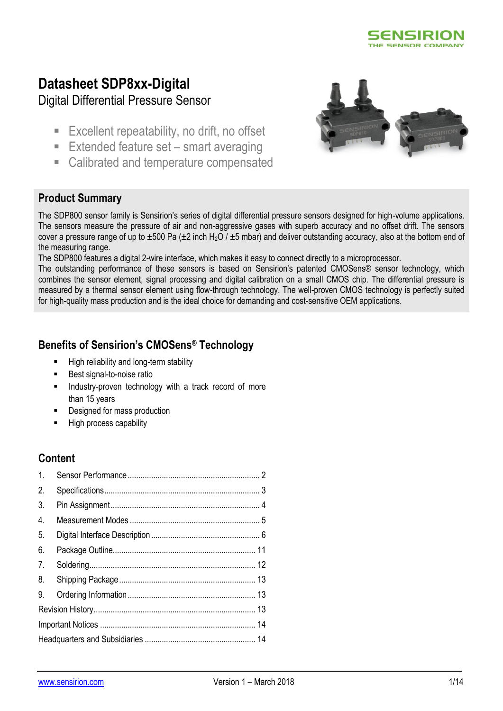

# **Datasheet SDP8xx-Digital**

Digital Differential Pressure Sensor

- **Excellent repeatability, no drift, no offset**
- Extended feature set smart averaging
- Calibrated and temperature compensated



## **Product Summary**

The SDP800 sensor family is Sensirion's series of digital differential pressure sensors designed for high-volume applications. The sensors measure the pressure of air and non-aggressive gases with superb accuracy and no offset drift. The sensors cover a pressure range of up to  $\pm 500$  Pa ( $\pm 2$  inch H<sub>2</sub>O /  $\pm 5$  mbar) and deliver outstanding accuracy, also at the bottom end of the measuring range.

The SDP800 features a digital 2-wire interface, which makes it easy to connect directly to a microprocessor.

The outstanding performance of these sensors is based on Sensirion's patented CMOSens® sensor technology, which combines the sensor element, signal processing and digital calibration on a small CMOS chip. The differential pressure is measured by a thermal sensor element using flow-through technology. The well-proven CMOS technology is perfectly suited for high-quality mass production and is the ideal choice for demanding and cost-sensitive OEM applications.

## **Benefits of Sensirion's CMOSens® Technology**

- High reliability and long-term stability
- **Best signal-to-noise ratio**
- Industry-proven technology with a track record of more than 15 years
- Designed for mass production
- High process capability

## **Content**

| $\mathbf{1}$ .   |  |  |  |  |
|------------------|--|--|--|--|
| 2.               |  |  |  |  |
| 3.               |  |  |  |  |
| $\overline{4}$ . |  |  |  |  |
| 5.               |  |  |  |  |
| 6.               |  |  |  |  |
| 7 <sub>1</sub>   |  |  |  |  |
| 8.               |  |  |  |  |
| 9.               |  |  |  |  |
|                  |  |  |  |  |
|                  |  |  |  |  |
|                  |  |  |  |  |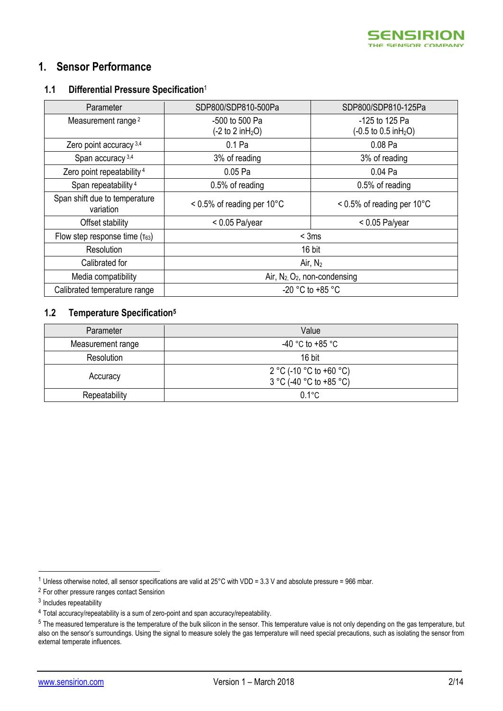

## <span id="page-1-0"></span>**1. Sensor Performance**

#### **1.1 Differential Pressure Specification**<sup>1</sup>

<span id="page-1-2"></span><span id="page-1-1"></span>

| Parameter                                  | SDP800/SDP810-500Pa                                     | SDP800/SDP810-125Pa                                         |  |
|--------------------------------------------|---------------------------------------------------------|-------------------------------------------------------------|--|
| Measurement range <sup>2</sup>             | -500 to 500 Pa<br>$(-2 \text{ to } 2 \text{ in } H_2O)$ | -125 to 125 Pa<br>$(-0.5 \text{ to } 0.5 \text{ in } H_2O)$ |  |
| Zero point accuracy 3,4                    | 0.1 Pa                                                  | 0.08 Pa                                                     |  |
| Span accuracy <sup>3,4</sup>               | 3% of reading                                           | 3% of reading                                               |  |
| Zero point repeatability <sup>4</sup>      | 0.05 Pa                                                 | 0.04 Pa                                                     |  |
| Span repeatability <sup>4</sup>            | 0.5% of reading                                         | 0.5% of reading                                             |  |
| Span shift due to temperature<br>variation | $< 0.5\%$ of reading per 10 $^{\circ}$ C                | $< 0.5\%$ of reading per 10 $^{\circ}$ C                    |  |
| Offset stability                           | $< 0.05$ Pa/year                                        | $< 0.05$ Pa/year                                            |  |
| Flow step response time $(\tau_{63})$      | $<$ 3ms                                                 |                                                             |  |
| Resolution                                 | 16 bit                                                  |                                                             |  |
| Calibrated for                             | Air, $N_2$                                              |                                                             |  |
| Media compatibility                        | Air, $N_2$ , $O_2$ , non-condensing                     |                                                             |  |
| Calibrated temperature range               | -20 °C to +85 °C                                        |                                                             |  |

## **1.2 Temperature Specification<sup>5</sup>**

| Parameter         | Value                                              |  |
|-------------------|----------------------------------------------------|--|
| Measurement range | -40 °C to +85 °C                                   |  |
| Resolution        | 16 bit                                             |  |
| Accuracy          | 2 °C (-10 °C to +60 °C)<br>3 °C (-40 °C to +85 °C) |  |
| Repeatability     | $0.1^{\circ}$ C                                    |  |

.<br>-

 $1$  Unless otherwise noted, all sensor specifications are valid at 25°C with VDD = 3.3 V and absolute pressure = 966 mbar.

<sup>2</sup> For other pressure ranges contact Sensirion

<sup>&</sup>lt;sup>3</sup> Includes repeatability

<sup>4</sup> Total accuracy/repeatability is a sum of zero-point and span accuracy/repeatability.

<sup>&</sup>lt;sup>5</sup> The measured temperature is the temperature of the bulk silicon in the sensor. This temperature value is not only depending on the gas temperature, but also on the sensor's surroundings. Using the signal to measure solely the gas temperature will need special precautions, such as isolating the sensor from external temperate influences.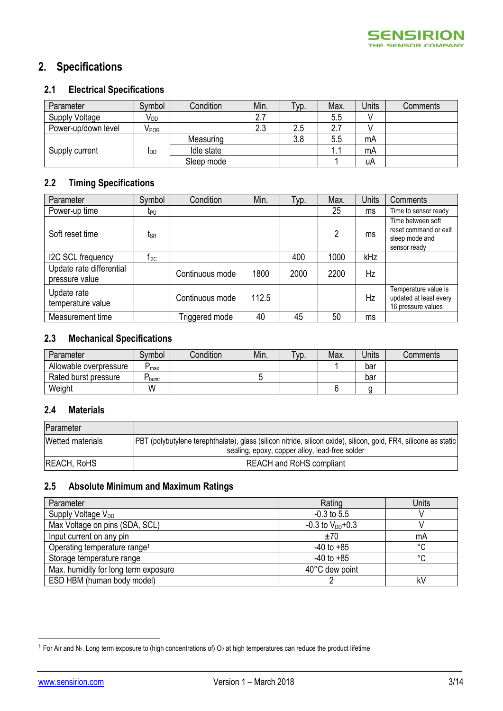# <span id="page-2-0"></span>**2. Specifications**

## **2.1 Electrical Specifications**

| Parameter           | Symbol                    | Condition  | Min. | Тур. | Max.     | Units | Comments |
|---------------------|---------------------------|------------|------|------|----------|-------|----------|
| Supply Voltage      | V <sub>DD</sub>           |            |      |      | 5.5      |       |          |
| Power-up/down level | $\mathsf{V}_\mathsf{POR}$ |            | 2.3  | 2.5  | <u>.</u> |       |          |
|                     |                           | Measuring  |      | 3.8  | 5.5      | mA    |          |
| Supply current      | <b>I</b> DD               | Idle state |      |      |          | mA    |          |
|                     |                           | Sleep mode |      |      |          | uA    |          |

## **2.2 Timing Specifications**

| Parameter                                  | Symbol           | Condition       | Min.  | Typ. | Max. | Units     | Comments                                                                     |
|--------------------------------------------|------------------|-----------------|-------|------|------|-----------|------------------------------------------------------------------------------|
| Power-up time                              | t <sub>PU</sub>  |                 |       |      | 25   | ms        | Time to sensor ready                                                         |
| Soft reset time                            | tsr              |                 |       |      | 2    | ms        | Time between soft<br>reset command or exit<br>sleep mode and<br>sensor ready |
| I2C SCL frequency                          | t <sub>l2C</sub> |                 |       | 400  | 1000 | kHz       |                                                                              |
| Update rate differential<br>pressure value |                  | Continuous mode | 1800  | 2000 | 2200 | Hz        |                                                                              |
| Update rate<br>temperature value           |                  | Continuous mode | 112.5 |      |      | <b>Hz</b> | Temperature value is<br>updated at least every<br>16 pressure values         |
| Measurement time                           |                  | Triggered mode  | 40    | 45   | 50   | ms        |                                                                              |

## **2.3 Mechanical Specifications**

| Parameter              | Svmbol      | Condition | Min. | $\tau$ yp. | Max. | Jnits | Comments |
|------------------------|-------------|-----------|------|------------|------|-------|----------|
| Allowable overpressure | D<br>max    |           |      |            |      | bar   |          |
| Rated burst pressure   | D<br>-burst |           |      |            |      | bar   |          |
| Weight                 | W           |           |      |            |      |       |          |

### **2.4 Materials**

| Parameter                                                                                                                             |                                                |  |  |
|---------------------------------------------------------------------------------------------------------------------------------------|------------------------------------------------|--|--|
| Wetted materials<br>[PBT (polybutylene terephthalate), glass (silicon nitride, silicon oxide), silicon, gold, FR4, silicone as static |                                                |  |  |
|                                                                                                                                       | sealing, epoxy, copper alloy, lead-free solder |  |  |
| <b>REACH, RoHS</b>                                                                                                                    | <b>REACH and RoHS compliant</b>                |  |  |

## **2.5 Absolute Minimum and Maximum Ratings**

| Parameter                                | Rating                 | Units |
|------------------------------------------|------------------------|-------|
| Supply Voltage V <sub>DD</sub>           | $-0.3$ to 5.5          |       |
| Max Voltage on pins (SDA, SCL)           | $-0.3$ to $V_{DD}+0.3$ |       |
| Input current on any pin                 | ±70                    | mA    |
| Operating temperature range <sup>1</sup> | $-40$ to $+85$         | °C    |
| Storage temperature range                | $-40$ to $+85$         | °C    |
| Max. humidity for long term exposure     | 40°C dew point         |       |
| ESD HBM (human body model)               |                        | kV    |

<span id="page-2-1"></span><u>.</u>

 $1$  For Air and N<sub>2</sub>. Long term exposure to (high concentrations of) O<sub>2</sub> at high temperatures can reduce the product lifetime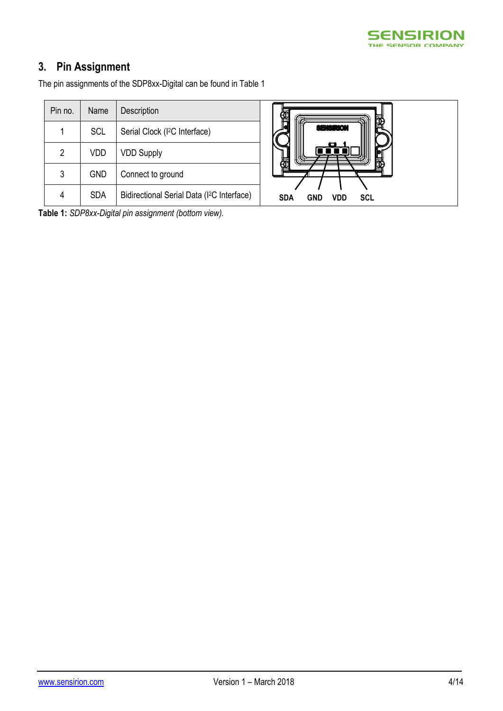

# **3. Pin Assignment**

The pin assignments of the SDP8xx-Digital can be found i[n Table 1](#page-3-0)

| Pin no.        | Name       | Description                                            |
|----------------|------------|--------------------------------------------------------|
|                | <b>SCL</b> | Serial Clock (I <sup>2</sup> C Interface)              |
| $\overline{2}$ | VDD        | <b>VDD Supply</b>                                      |
| 3              | <b>GND</b> | Connect to ground                                      |
|                | SDA        | Bidirectional Serial Data (1 <sup>2</sup> C Interface) |



<span id="page-3-0"></span>**Table 1:** *SDP8xx-Digital pin assignment (bottom view).*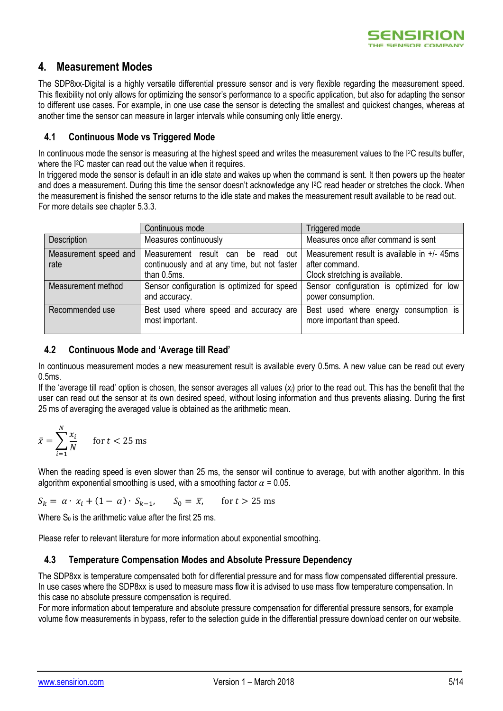

## <span id="page-4-0"></span>**4. Measurement Modes**

The SDP8xx-Digital is a highly versatile differential pressure sensor and is very flexible regarding the measurement speed. This flexibility not only allows for optimizing the sensor's performance to a specific application, but also for adapting the sensor to different use cases. For example, in one use case the sensor is detecting the smallest and quickest changes, whereas at another time the sensor can measure in larger intervals while consuming only little energy.

### **4.1 Continuous Mode vs Triggered Mode**

In continuous mode the sensor is measuring at the highest speed and writes the measurement values to the I<sup>2</sup>C results buffer. where the I2C master can read out the value when it requires.

In triggered mode the sensor is default in an idle state and wakes up when the command is sent. It then powers up the heater and does a measurement. During this time the sensor doesn't acknowledge any I<sup>2</sup>C read header or stretches the clock. When the measurement is finished the sensor returns to the idle state and makes the measurement result available to be read out. For more details see chapte[r 5.3.3.](#page-7-0)

|                       | Continuous mode                                           | Triggered mode                                                      |  |  |
|-----------------------|-----------------------------------------------------------|---------------------------------------------------------------------|--|--|
| Description           | Measures continuously                                     | Measures once after command is sent                                 |  |  |
| Measurement speed and | Measurement result can<br>out<br>be<br>read               | Measurement result is available in $+/- 45$ ms                      |  |  |
| rate                  | continuously and at any time, but not faster              | after command.                                                      |  |  |
|                       | than 0.5ms.                                               | Clock stretching is available.                                      |  |  |
| Measurement method    | Sensor configuration is optimized for speed               | Sensor configuration is optimized for low                           |  |  |
|                       | and accuracy.                                             | power consumption.                                                  |  |  |
| Recommended use       | Best used where speed and accuracy are<br>most important. | Best used where energy consumption is<br>more important than speed. |  |  |

### **4.2 Continuous Mode and 'Average till Read'**

In continuous measurement modes a new measurement result is available every 0.5ms. A new value can be read out every 0.5ms.

If the 'average till read' option is chosen, the sensor averages all values (*xi*) prior to the read out. This has the benefit that the user can read out the sensor at its own desired speed, without losing information and thus prevents aliasing. During the first 25 ms of averaging the averaged value is obtained as the arithmetic mean.

$$
\bar{x} = \sum_{i=1}^{N} \frac{x_i}{N} \quad \text{for } t < 25 \text{ ms}
$$

When the reading speed is even slower than 25 ms, the sensor will continue to average, but with another algorithm. In this algorithm exponential smoothing is used, with a smoothing factor  $\alpha = 0.05$ .

 $S_k = \alpha \cdot x_i + (1 - \alpha) \cdot S_{k-1}, \quad S_0 = \overline{x}$ , for  $t > 25$  ms

Where  $S_0$  is the arithmetic value after the first 25 ms.

Please refer to relevant literature for more information about exponential smoothing.

#### **4.3 Temperature Compensation Modes and Absolute Pressure Dependency**

The SDP8xx is temperature compensated both for differential pressure and for mass flow compensated differential pressure. In use cases where the SDP8xx is used to measure mass flow it is advised to use mass flow temperature compensation. In this case no absolute pressure compensation is required.

For more information about temperature and absolute pressure compensation for differential pressure sensors, for example volume flow measurements in bypass, refer to the selection guide in the differential pressure download center on our website.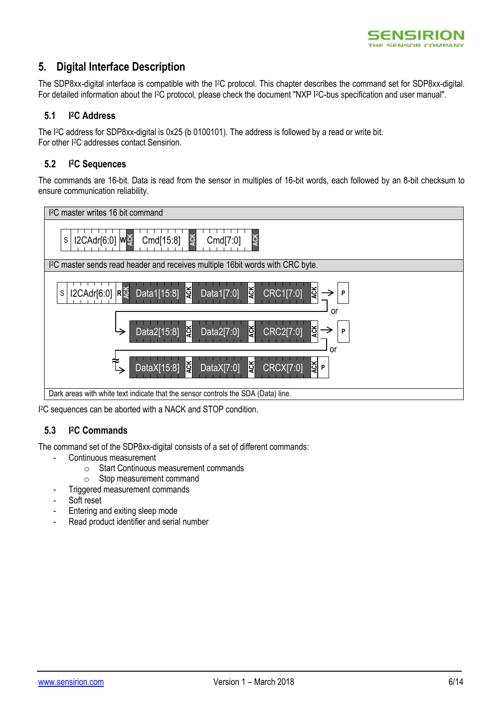

## <span id="page-5-0"></span>**5. Digital Interface Description**

The SDP8xx-digital interface is compatible with the I <sup>2</sup>C protocol. This chapter describes the command set for SDP8xx-digital. For detailed information about the I<sup>2</sup>C protocol, please check the document "NXP I<sup>2</sup>C-bus specification and user manual".

#### **5.1 I <sup>2</sup>C Address**

The I<sup>2</sup>C address for SDP8xx-digital is 0x25 (b 0100101). The address is followed by a read or write bit. For other I2C addresses contact Sensirion.

#### **5.2 I <sup>2</sup>C Sequences**

The commands are 16-bit. Data is read from the sensor in multiples of 16-bit words, each followed by an 8-bit checksum to ensure communication reliability.



I <sup>2</sup>C sequences can be aborted with a NACK and STOP condition.

#### **5.3 I <sup>2</sup>C Commands**

The command set of the SDP8xx-digital consists of a set of different commands:

- Continuous measurement
	- o Start Continuous measurement commands
	- o Stop measurement command
- Triggered measurement commands
- Soft reset
- Entering and exiting sleep mode
- Read product identifier and serial number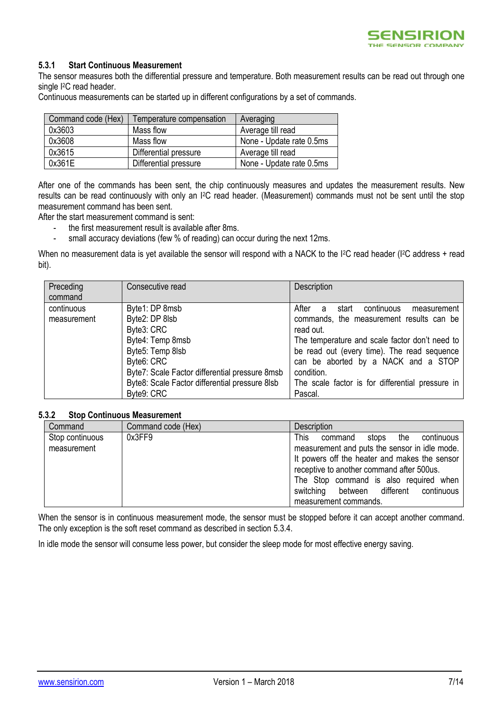

#### **5.3.1 Start Continuous Measurement**

The sensor measures both the differential pressure and temperature. Both measurement results can be read out through one single I<sup>2</sup>C read header.

Continuous measurements can be started up in different configurations by a set of commands.

| Command code (Hex) | Temperature compensation | Averaging                |
|--------------------|--------------------------|--------------------------|
| 0x3603             | Mass flow                | Average till read        |
| 0x3608             | Mass flow                | None - Update rate 0.5ms |
| 0x3615             | Differential pressure    | Average till read        |
| 0x361E             | Differential pressure    | None - Update rate 0.5ms |

After one of the commands has been sent, the chip continuously measures and updates the measurement results. New results can be read continuously with only an I2C read header. (Measurement) commands must not be sent until the stop measurement command has been sent.

After the start measurement command is sent:

- the first measurement result is available after 8ms.
- small accuracy deviations (few % of reading) can occur during the next 12ms.

When no measurement data is yet available the sensor will respond with a NACK to the I<sup>2</sup>C read header (I<sup>2</sup>C address + read bit).

| Preceding   | Consecutive read                               | Description                                      |
|-------------|------------------------------------------------|--------------------------------------------------|
| command     |                                                |                                                  |
| continuous  | Byte1: DP 8msb                                 | After<br>start continuous<br>measurement<br>a    |
| measurement | Byte2: DP 8lsb                                 | commands, the measurement results can be         |
|             | Byte3: CRC                                     | read out.                                        |
|             | Byte4: Temp 8msb                               | The temperature and scale factor don't need to   |
|             | Byte5: Temp 8lsb                               | be read out (every time). The read sequence      |
|             | Byte6: CRC                                     | can be aborted by a NACK and a STOP              |
|             | Byte7: Scale Factor differential pressure 8msb | condition.                                       |
|             | Byte8: Scale Factor differential pressure 8lsb | The scale factor is for differential pressure in |
|             | Byte9: CRC                                     | Pascal.                                          |

#### **5.3.2 Stop Continuous Measurement**

| Command                        | Command code (Hex) | <b>Description</b>                                                                                                                                                                                                                                                                                     |
|--------------------------------|--------------------|--------------------------------------------------------------------------------------------------------------------------------------------------------------------------------------------------------------------------------------------------------------------------------------------------------|
| Stop continuous<br>measurement | 0x3FF9             | This<br>stops the continuous<br>command<br>measurement and puts the sensor in idle mode.<br>It powers off the heater and makes the sensor<br>receptive to another command after 500us.<br>The Stop command is also required when<br>between different continuous<br>switching<br>measurement commands. |

When the sensor is in continuous measurement mode, the sensor must be stopped before it can accept another command. The only exception is the soft reset command as described in section [5.3.4.](#page-7-1)

In idle mode the sensor will consume less power, but consider the sleep mode for most effective energy saving.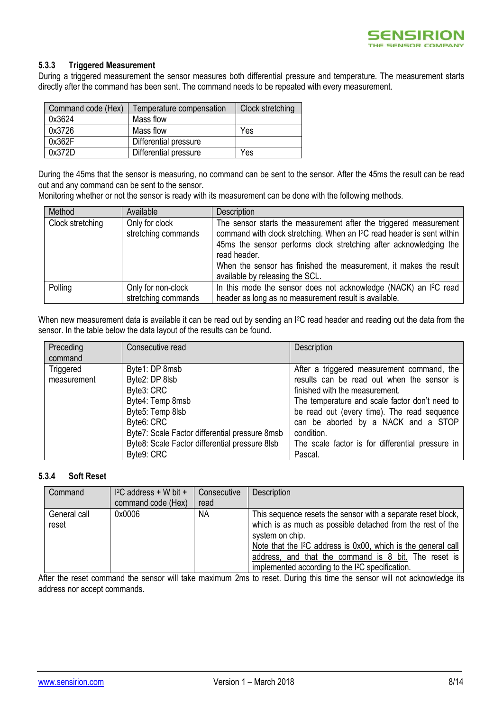

#### <span id="page-7-0"></span>**5.3.3 Triggered Measurement**

During a triggered measurement the sensor measures both differential pressure and temperature. The measurement starts directly after the command has been sent. The command needs to be repeated with every measurement.

| Command code (Hex) | Temperature compensation | Clock stretching |
|--------------------|--------------------------|------------------|
| 0x3624             | Mass flow                |                  |
| 0x3726             | Mass flow                | Yes              |
| 0x362F             | Differential pressure    |                  |
| 0x372D             | Differential pressure    | Yes              |

During the 45ms that the sensor is measuring, no command can be sent to the sensor. After the 45ms the result can be read out and any command can be sent to the sensor.

Monitoring whether or not the sensor is ready with its measurement can be done with the following methods.

| Method           | Available                             | Description                                                                                                                                                                                                                                                                                                                                          |
|------------------|---------------------------------------|------------------------------------------------------------------------------------------------------------------------------------------------------------------------------------------------------------------------------------------------------------------------------------------------------------------------------------------------------|
| Clock stretching | Only for clock<br>stretching commands | The sensor starts the measurement after the triggered measurement<br>command with clock stretching. When an I <sup>2</sup> C read header is sent within<br>45ms the sensor performs clock stretching after acknowledging the<br>read header.<br>When the sensor has finished the measurement, it makes the result<br>available by releasing the SCL. |
| Polling          | Only for non-clock                    | In this mode the sensor does not acknowledge (NACK) an I <sup>2</sup> C read                                                                                                                                                                                                                                                                         |
|                  | stretching commands                   | header as long as no measurement result is available.                                                                                                                                                                                                                                                                                                |

When new measurement data is available it can be read out by sending an I<sup>2</sup>C read header and reading out the data from the sensor. In the table below the data layout of the results can be found.

| Preceding   | Consecutive read                               | Description                                      |
|-------------|------------------------------------------------|--------------------------------------------------|
| command     |                                                |                                                  |
| Triggered   | Byte1: DP 8msb                                 | After a triggered measurement command, the       |
| measurement | Byte2: DP 8lsb                                 | results can be read out when the sensor is       |
|             | Byte3: CRC                                     | finished with the measurement.                   |
|             | Byte4: Temp 8msb                               | The temperature and scale factor don't need to   |
|             | Byte5: Temp 8lsb                               | be read out (every time). The read sequence      |
|             | Byte <sub>6</sub> : CRC                        | can be aborted by a NACK and a STOP              |
|             | Byte7: Scale Factor differential pressure 8msb | condition.                                       |
|             | Byte8: Scale Factor differential pressure 8lsb | The scale factor is for differential pressure in |
|             | Byte9: CRC                                     | Pascal.                                          |

#### <span id="page-7-1"></span>**5.3.4 Soft Reset**

| Command               | $I^2C$ address + W bit +<br>command code (Hex) | Consecutive<br>read | Description                                                                                                                                                                                                                                                                                                                                        |
|-----------------------|------------------------------------------------|---------------------|----------------------------------------------------------------------------------------------------------------------------------------------------------------------------------------------------------------------------------------------------------------------------------------------------------------------------------------------------|
| General call<br>reset | 0x0006                                         | <b>NA</b>           | This sequence resets the sensor with a separate reset block,<br>which is as much as possible detached from the rest of the<br>system on chip.<br>Note that the I <sup>2</sup> C address is 0x00, which is the general call<br>address, and that the command is 8 bit. The reset is<br>implemented according to the I <sup>2</sup> C specification. |

After the reset command the sensor will take maximum 2ms to reset. During this time the sensor will not acknowledge its address nor accept commands.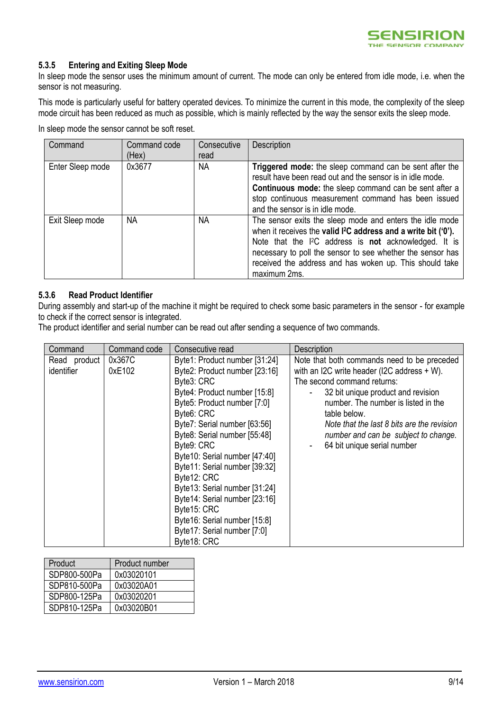

#### **5.3.5 Entering and Exiting Sleep Mode**

In sleep mode the sensor uses the minimum amount of current. The mode can only be entered from idle mode, i.e. when the sensor is not measuring.

This mode is particularly useful for battery operated devices. To minimize the current in this mode, the complexity of the sleep mode circuit has been reduced as much as possible, which is mainly reflected by the way the sensor exits the sleep mode.

In sleep mode the sensor cannot be soft reset.

| Command          | Command code<br>(Hex) | Consecutive<br>read | Description                                                                                                                                                                                                                                                                                                                                          |
|------------------|-----------------------|---------------------|------------------------------------------------------------------------------------------------------------------------------------------------------------------------------------------------------------------------------------------------------------------------------------------------------------------------------------------------------|
| Enter Sleep mode | 0x3677                | <b>NA</b>           | Triggered mode: the sleep command can be sent after the<br>result have been read out and the sensor is in idle mode.<br><b>Continuous mode:</b> the sleep command can be sent after a<br>stop continuous measurement command has been issued<br>and the sensor is in idle mode.                                                                      |
| Exit Sleep mode  | <b>NA</b>             | <b>NA</b>           | The sensor exits the sleep mode and enters the idle mode<br>when it receives the valid I <sup>2</sup> C address and a write bit ('0').<br>Note that the I <sup>2</sup> C address is not acknowledged. It is<br>necessary to poll the sensor to see whether the sensor has<br>received the address and has woken up. This should take<br>maximum 2ms. |

#### **5.3.6 Read Product Identifier**

During assembly and start-up of the machine it might be required to check some basic parameters in the sensor - for example to check if the correct sensor is integrated.

The product identifier and serial number can be read out after sending a sequence of two commands.

| Command                    | Command code     | Consecutive read                                                                                                                                                                                                                                                                                                                                                                                                                                                                        | Description                                                                                                                                                                                                                                                                                                                                    |
|----------------------------|------------------|-----------------------------------------------------------------------------------------------------------------------------------------------------------------------------------------------------------------------------------------------------------------------------------------------------------------------------------------------------------------------------------------------------------------------------------------------------------------------------------------|------------------------------------------------------------------------------------------------------------------------------------------------------------------------------------------------------------------------------------------------------------------------------------------------------------------------------------------------|
| Read product<br>identifier | 0x367C<br>0xE102 | Byte1: Product number [31:24]<br>Byte2: Product number [23:16]<br>Byte3: CRC<br>Byte4: Product number [15:8]<br>Byte5: Product number [7:0]<br>Byte6: CRC<br>Byte7: Serial number [63:56]<br>Byte8: Serial number [55:48]<br>Byte9: CRC<br>Byte10: Serial number [47:40]<br>Byte11: Serial number [39:32]<br>Byte12: CRC<br>Byte13: Serial number [31:24]<br>Byte14: Serial number [23:16]<br>Byte15: CRC<br>Byte16: Serial number [15:8]<br>Byte17: Serial number [7:0]<br>Byte18: CRC | Note that both commands need to be preceded<br>with an I2C write header (I2C address $+ W$ ).<br>The second command returns:<br>32 bit unique product and revision<br>number. The number is listed in the<br>table below.<br>Note that the last 8 bits are the revision<br>number and can be subject to change.<br>64 bit unique serial number |

| Product      | Product number |
|--------------|----------------|
| SDP800-500Pa | 0x03020101     |
| SDP810-500Pa | 0x03020A01     |
| SDP800-125Pa | 0x03020201     |
| SDP810-125Pa | 0x03020B01     |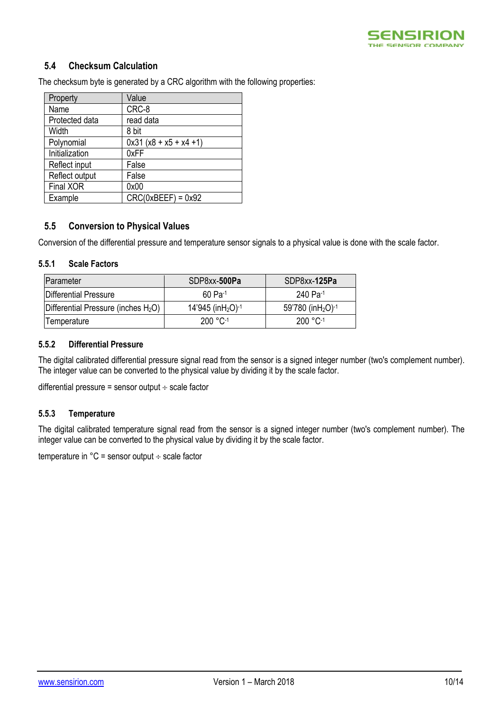

## **5.4 Checksum Calculation**

The checksum byte is generated by a CRC algorithm with the following properties:

| Property       | Value                     |
|----------------|---------------------------|
| Name           | CRC-8                     |
| Protected data | read data                 |
| Width          | 8 bit                     |
| Polynomial     | $0x31 (x8 + x5 + x4 + 1)$ |
| Initialization | 0xFF                      |
| Reflect input  | False                     |
| Reflect output | False                     |
| Final XOR      | 0x00                      |
| Example        | $CRC(0xBEEF) = 0x92$      |

#### **5.5 Conversion to Physical Values**

Conversion of the differential pressure and temperature sensor signals to a physical value is done with the scale factor.

#### **5.5.1 Scale Factors**

| <b>IParameter</b>                               | SDP8xx-500Pa                                 | SDP8xx-125Pa                               |  |
|-------------------------------------------------|----------------------------------------------|--------------------------------------------|--|
| Differential Pressure                           | $60$ Pa-1                                    | 240 Pa-1                                   |  |
| Differential Pressure (inches H <sub>2</sub> O) | $14'945$ (in H <sub>2</sub> O) <sup>-1</sup> | 59'780 (in H <sub>2</sub> O) <sup>-1</sup> |  |
| Temperature                                     | $200 °C^{-1}$                                | $200 °C^{-1}$                              |  |

#### **5.5.2 Differential Pressure**

The digital calibrated differential pressure signal read from the sensor is a signed integer number (two's complement number). The integer value can be converted to the physical value by dividing it by the scale factor.

differential pressure = sensor output  $\div$  scale factor

#### **5.5.3 Temperature**

The digital calibrated temperature signal read from the sensor is a signed integer number (two's complement number). The integer value can be converted to the physical value by dividing it by the scale factor.

temperature in  $°C =$  sensor output  $\div$  scale factor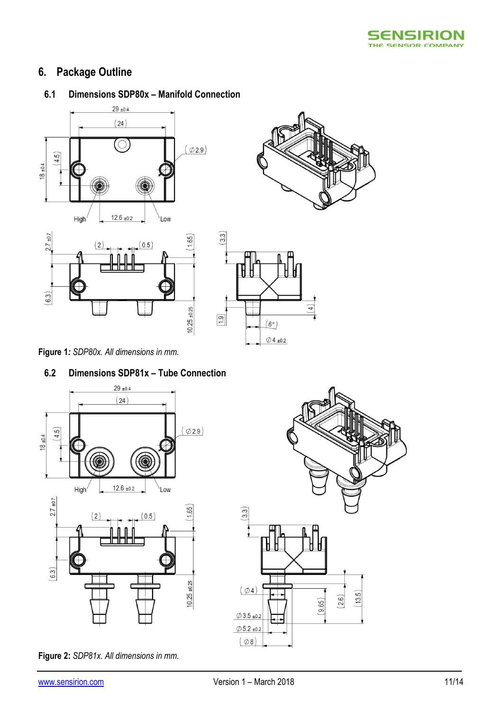

# <span id="page-10-0"></span>**6. Package Outline**

## **6.1 Dimensions SDP80x – Manifold Connection**







**Figure 1***: SDP80x. All dimensions in mm.*

## **6.2 Dimensions SDP81x – Tube Connection**

 $10.25 + 0.25$ 



**Figure 2:** *SDP81x. All dimensions in mm.*

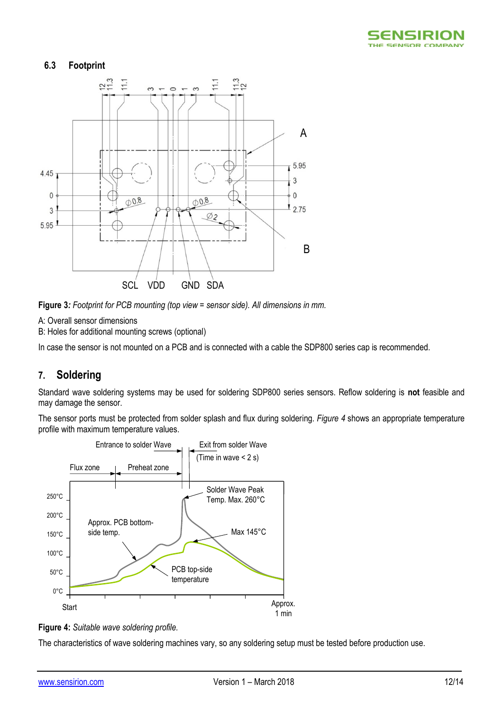

### **6.3 Footprint**



**Figure 3***: Footprint for PCB mounting (top view = sensor side). All dimensions in mm.*

A: Overall sensor dimensions

B: Holes for additional mounting screws (optional)

In case the sensor is not mounted on a PCB and is connected with a cable the SDP800 series cap is recommended.

## <span id="page-11-0"></span>**7. Soldering**

Standard wave soldering systems may be used for soldering SDP800 series sensors. Reflow soldering is **not** feasible and may damage the sensor.

The sensor ports must be protected from solder splash and flux during soldering. *[Figure 4](#page-11-1)* shows an appropriate temperature profile with maximum temperature values.



<span id="page-11-1"></span>

The characteristics of wave soldering machines vary, so any soldering setup must be tested before production use.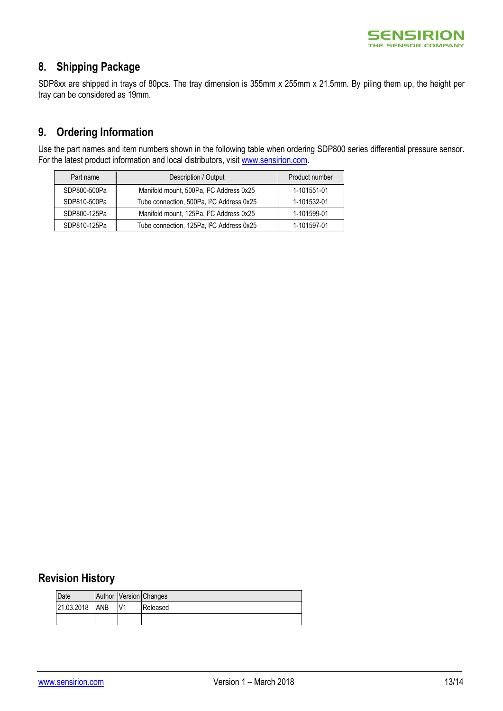

## <span id="page-12-0"></span>**8. Shipping Package**

<span id="page-12-1"></span>SDP8xx are shipped in trays of 80pcs. The tray dimension is 355mm x 255mm x 21.5mm. By piling them up, the height per tray can be considered as 19mm.

## **9. Ordering Information**

Use the part names and item numbers shown in the following table when ordering SDP800 series differential pressure sensor. For the latest product information and local distributors, visit [www.sensirion.com.](http://www.sensirion.com/)

| Part name    | Description / Output                                  | Product number |
|--------------|-------------------------------------------------------|----------------|
| SDP800-500Pa | Manifold mount, 500Pa, I <sup>2</sup> C Address 0x25  | 1-101551-01    |
| SDP810-500Pa | Tube connection, 500Pa, I <sup>2</sup> C Address 0x25 | 1-101532-01    |
| SDP800-125Pa | Manifold mount, 125Pa, I <sup>2</sup> C Address 0x25  | 1-101599-01    |
| SDP810-125Pa | Tube connection, 125Pa, I <sup>2</sup> C Address 0x25 | 1-101597-01    |

## <span id="page-12-2"></span>**Revision History**

| Date       |            |    | Author Version Changes |
|------------|------------|----|------------------------|
| 21.03.2018 | <b>ANB</b> | V1 | Released               |
|            |            |    |                        |